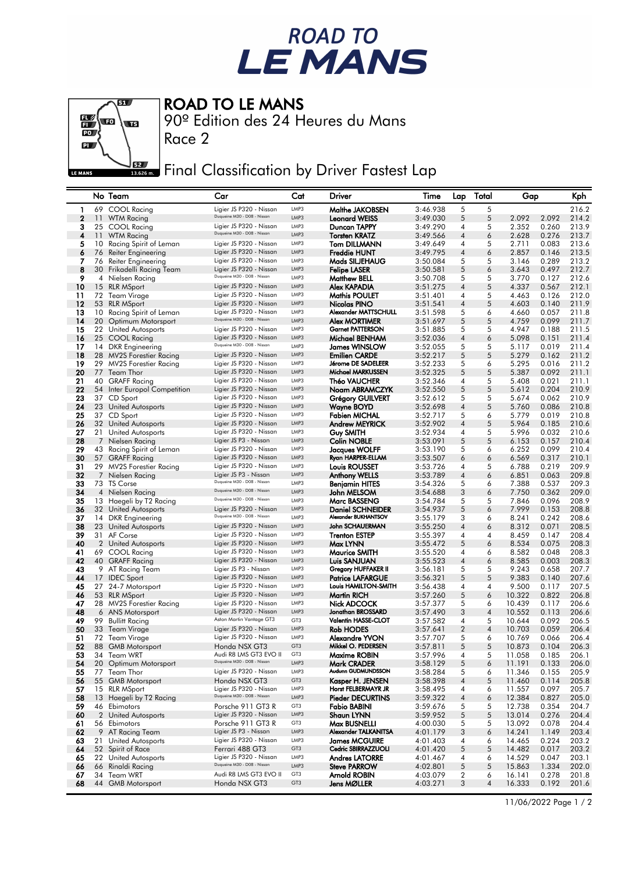



## ROAD TO LE MANS

90º Edition des 24 Heures du Mans

Race 2

Final Classification by Driver Fastest Lap

|             |    | No Team                                     | Car                                                    | Cat                                | Driver                                         | Time                 | Lap                 | Total               | Gap              |                | Kph            |
|-------------|----|---------------------------------------------|--------------------------------------------------------|------------------------------------|------------------------------------------------|----------------------|---------------------|---------------------|------------------|----------------|----------------|
| 1           |    | 69 COOL Racing                              | Ligier JS P320 - Nissan                                | LMP3                               | Malthe JAKOBSEN                                | 3:46.938             | 5                   | 5                   |                  |                | 216.2          |
| $\mathbf 2$ |    | 11 WTM Racing                               | Duqueine M30 - D08 - Nissan                            | LMP3                               | <b>Leonard WEISS</b>                           | 3:49.030             | 5                   | 5                   | 2.092            | 2.092          | 214.2          |
| 3           |    | 25 COOL Racing                              | Ligier JS P320 - Nissan                                | LMP3                               | Duncan TAPPY                                   | 3:49.290             | 4                   | 5                   | 2.352            | 0.260          | 213.9          |
| 4           | 11 | WTM Racing                                  | Duqueine M30 - D08 - Nissan                            | LMP3                               | <b>Torsten KRATZ</b>                           | 3:49.566             | 4                   | 6                   | 2.628            | 0.276          | 213.7          |
| 5           | 10 | Racing Spirit of Leman                      | Ligier JS P320 - Nissan                                | LMP3<br>LMP3                       | <b>Tom DILLMANN</b>                            | 3:49.649             | 4                   | 5                   | 2.711            | 0.083          | 213.6          |
| 6<br>7      | 76 | Reiter Engineering<br>76 Reiter Engineering | Ligier JS P320 - Nissan<br>Ligier JS P320 - Nissan     | LMP3                               | <b>Freddie HUNT</b><br>Mads SILJEHAUG          | 3:49.795<br>3:50.084 | 4<br>5              | 6<br>5              | 2.857<br>3.146   | 0.146<br>0.289 | 213.5<br>213.2 |
| 8           |    | 30 Frikadelli Racing Team                   | Ligier JS P320 - Nissan                                | LMP3                               | <b>Felipe LASER</b>                            | 3:50.581             | 5                   | 6                   | 3.643            | 0.497          | 212.7          |
| 9           |    | 4 Nielsen Racing                            | Duqueine M30 - D08 - Nissan                            | LMP3                               | <b>Matthew BELL</b>                            | 3:50.708             | 5                   | 5                   | 3.770            | 0.127          | 212.6          |
| 10          |    | 15 RLR MSport                               | Ligier JS P320 - Nissan                                | LMP3                               | Alex KAPADIA                                   | 3:51.275             | 4                   | 5                   | 4.337            | 0.567          | 212.1          |
| 11          |    | 72 Team Virage                              | Ligier JS P320 - Nissan                                | LMP3                               | <b>Mathis POULET</b>                           | 3:51.401             | 4                   | 5                   | 4.463            | 0.126          | 212.0          |
| 12          |    | 53 RLR MSport                               | Ligier JS P320 - Nissan                                | LMP3                               | Nicolas PINO                                   | 3:51.541             | 4                   | 5                   | 4.603            | 0.140          | 211.9          |
| 13          |    | 10 Racing Spirit of Leman                   | Ligier JS P320 - Nissan<br>Duqueine M30 - D08 - Nissan | LMP3                               | Alexander MATTSCHULL                           | 3:51.598             | 5                   | 6                   | 4.660            | 0.057          | 211.8          |
| 14          |    | 20 Optimum Motorsport                       |                                                        | LMP3                               | <b>Alex MORTIMER</b>                           | 3:51.697             | 5                   | 5                   | 4.759            | 0.099          | 211.7          |
| 15<br>16    |    | 22 United Autosports                        | Ligier JS P320 - Nissan<br>Ligier JS P320 - Nissan     | LMP3<br>LMP3                       | <b>Garnet PATTERSON</b>                        | 3:51.885             | 5<br>4              | 5<br>6              | 4.947            | 0.188<br>0.151 | 211.5          |
| 17          |    | 25 COOL Racing<br>14 DKR Engineering        | Duqueine M30 - D08 - Nissan                            | LMP3                               | Michael BENHAM<br>James WINSLOW                | 3:52.036<br>3:52.055 | 5                   | 5                   | 5.098<br>5.117   | 0.019          | 211.4<br>211.4 |
| 18          |    | 28 MV2S Forestier Racing                    | Ligier JS P320 - Nissan                                | LMP3                               | <b>Emilien CARDE</b>                           | 3:52.217             | 5                   | 5                   | 5.279            | 0.162          | 211.2          |
| 19          |    | 29 MV2S Forestier Racing                    | Ligier JS P320 - Nissan                                | LMP3                               | Jérome DE SADELEER                             | 3:52.233             | 5                   | 6                   | 5.295            | 0.016          | 211.2          |
| 20          |    | 77 Team Thor                                | Ligier JS P320 - Nissan                                | LMP3                               | Michael MARKUSSEN                              | 3:52.325             | 5                   | 5                   | 5.387            | 0.092          | 211.1          |
| 21          |    | 40 GRAFF Racing                             | Ligier JS P320 - Nissan                                | LMP3                               | <b>Théo VAUCHER</b>                            | 3:52.346             | 4                   | 5                   | 5.408            | 0.021          | 211.1          |
| 22          |    | 54 Inter Europol Competition                | Ligier JS P320 - Nissan                                | LMP3                               | Noam ABRAMCZYK                                 | 3:52.550             | 5                   | 5                   | 5.612            | 0.204          | 210.9          |
| 23          |    | 37 CD Sport                                 | Ligier JS P320 - Nissan                                | LMP3                               | <b>Grégory GUILVERT</b>                        | 3:52.612             | 5                   | 5                   | 5.674            | 0.062          | 210.9          |
| 24<br>25    |    | 23 United Autosports                        | Ligier JS P320 - Nissan<br>Ligier JS P320 - Nissan     | LMP3<br>LMP3                       | Wayne BOYD                                     | 3:52.698             | 4<br>5              | 5<br>6              | 5.760            | 0.086          | 210.8          |
| 26          |    | 37 CD Sport<br>32 United Autosports         | Ligier JS P320 - Nissan                                | LMP3                               | Fabien MICHAL<br><b>Andrew MEYRICK</b>         | 3:52.717<br>3:52.902 | 4                   | 5                   | 5.779<br>5.964   | 0.019<br>0.185 | 210.8<br>210.6 |
| 27          |    | 21 United Autosports                        | Ligier JS P320 - Nissan                                | LMP3                               | Guy SMITH                                      | 3:52.934             | 4                   | 5                   | 5.996            | 0.032          | 210.6          |
| 28          |    | 7 Nielsen Racing                            | Ligier JS P3 - Nissan                                  | LMP3                               | <b>Colin NOBLE</b>                             | 3:53.091             | 5                   | 5                   | 6.153            | 0.157          | 210.4          |
| 29          |    | 43 Racing Spirit of Leman                   | Ligier JS P320 - Nissan                                | LMP3                               | Jacques WOLFF                                  | 3:53.190             | 5                   | 6                   | 6.252            | 0.099          | 210.4          |
| 30          |    | 57 GRAFF Racing                             | Ligier JS P320 - Nissan                                | LMP3                               | Ryan HARPER-ELLAM                              | 3:53.507             | 6                   | 6                   | 6.569            | 0.317          | 210.1          |
| 31          |    | 29 MV2S Forestier Racing                    | Ligier JS P320 - Nissan                                | LMP3                               | <b>Louis ROUSSET</b>                           | 3:53.726             | 4                   | 5                   | 6.788            | 0.219          | 209.9          |
| 32          |    | 7 Nielsen Racing                            | Ligier JS P3 - Nissan<br>Duqueine M30 - D08 - Nissan   | LMP3                               | <b>Anthony WELLS</b>                           | 3:53.789             | 4                   | 6                   | 6.851            | 0.063          | 209.8          |
| 33<br>34    |    | 73 TS Corse<br>4 Nielsen Racing             | Duqueine M30 - D08 - Nissan                            | LMP3<br>LMP3                       | Benjamin HITES<br>John MELSOM                  | 3:54.326<br>3:54.688 | 5<br>3              | 6<br>6              | 7.388<br>7.750   | 0.537<br>0.362 | 209.3<br>209.0 |
| 35          |    | 13 Haegeli by T2 Racing                     | Duqueine M30 - D08 - Nissan                            | LMP3                               | Marc BASSENG                                   | 3:54.784             | 5                   | 5                   | 7.846            | 0.096          | 208.9          |
| 36          |    | 32 United Autosports                        | Ligier JS P320 - Nissan                                | LMP3                               | <b>Daniel SCHNEIDER</b>                        | 3:54.937             | 5                   | 6                   | 7.999            | 0.153          | 208.8          |
| 37          |    | 14 DKR Engineering                          | Duqueine M30 - D08 - Nissan                            | LMP3                               | Alexander BUKHANTSOV                           | 3:55.179             | 3                   | 6                   | 8.241            | 0.242          | 208.6          |
| 38          |    | 23 United Autosports                        | Ligier JS P320 - Nissan                                | LMP3                               | John SCHAUERMAN                                | 3:55.250             | 4                   | 6                   | 8.312            | 0.071          | 208.5          |
| 39          |    | 31 AF Corse                                 | Ligier JS P320 - Nissan                                | LMP3                               | <b>Trenton ESTEP</b>                           | 3:55.397             | 4                   | 4                   | 8.459            | 0.147          | 208.4          |
| 40          |    | 2 United Autosports                         | Ligier JS P320 - Nissan                                | LMP3                               | Max LYNN                                       | 3:55.472             | 5                   | 6                   | 8.534            | 0.075          | 208.3          |
| 41<br>42    |    | 69 COOL Racing                              | Ligier JS P320 - Nissan<br>Ligier JS P320 - Nissan     | LMP3<br>LMP3                       | Maurice SMITH                                  | 3:55.520             | 4<br>4              | 6                   | 8.582<br>8.585   | 0.048<br>0.003 | 208.3<br>208.3 |
| 43          |    | 40 GRAFF Racing<br>9 AT Racing Team         | Ligier JS P3 - Nissan                                  | LMP3                               | Luis SANJUAN<br>Gregory HUFFAKER II            | 3:55.523<br>3:56.181 | 5                   | 6<br>5              | 9.243            | 0.658          | 207.7          |
| 44          |    | 17 IDEC Sport                               | Ligier JS P320 - Nissan                                | LMP3                               | <b>Patrice LAFARGUE</b>                        | 3:56.321             | 5                   | 5                   | 9.383            | 0.140          | 207.6          |
| 45          |    | 27 24-7 Motorsport                          | Ligier JS P320 - Nissan                                | LMP3                               | Louis HAMILTON-SMITH                           | 3:56.438             | 4                   | 4                   | 9.500            | 0.117          | 207.5          |
| 46          |    | 53 RLR MSport                               | Ligier JS P320 - Nissan                                | LMP3                               | Martin RICH                                    | 3:57.260             | 5                   | 6                   | 10.322           | 0.822          | 206.8          |
| 47          |    | 28 MV2S Forestier Racing                    | Ligier JS P320 - Nissan                                | LMP3                               | Nick ADCOCK                                    | 3:57.377             | 5                   | 6                   | 10.439           | 0.117          | 206.6          |
| 48          |    | 6 ANS Motorsport                            | Ligier JS P320 - Nissan                                | LMP3                               | Jonathan BROSSARD                              | 3:57.490             | 3                   | 4                   | 10.552           | 0.113          | 206.6          |
| 49          | 99 | <b>Bullitt Racing</b>                       | Aston Martin Vantage GT3<br>Ligier JS P320 - Nissan    | GT3<br>LMP3                        | Valentin HASSE-CLOT                            | 3:57.582             | 4                   | 5                   | 10.644           | 0.092<br>0.059 | 206.5          |
| 50<br>51    |    | 33 Team Virage<br>72 Team Virage            | Ligier JS P320 - Nissan                                | LMP3                               | Rob HODES<br>Alexandre YVON                    | 3:57.641<br>3:57.707 | $\overline{2}$<br>5 | $\overline{4}$<br>6 | 10.703<br>10.769 | 0.066          | 206.4<br>206.4 |
| 52          |    | 88 GMB Motorsport                           | Honda NSX GT3                                          | GT3                                | Mikkel O. PEDERSEN                             | 3:57.811             | 5                   | 5                   | 10.873           | 0.104          | 206.3          |
| 53          |    | 34 Team WRT                                 | Audi R8 LMS GT3 EVO II                                 | GT3                                | Maxime ROBIN                                   | 3:57.996             | 4                   | 5                   | 11.058           | 0.185          | 206.1          |
| 54          |    | 20 Optimum Motorsport                       | Duqueine M30 - D08 - Nissan                            | LMP3                               | <b>Mark CRADER</b>                             | 3:58.129             | 5                   | 6                   | 11.191           | 0.133          | 206.0          |
| 55          |    | 77 Team Thor                                | Ligier JS P320 - Nissan                                | LMP3                               | Audunn GUDMUNDSSON                             | 3:58.284             | 5                   | 6                   | 11.346           | 0.155          | 205.9          |
| 56          |    | 55 GMB Motorsport                           | Honda NSX GT3                                          | GT3                                | Kasper H. JENSEN                               | 3:58.398             | 4                   | 5                   | 11.460           | 0.114          | 205.8          |
| 57          |    | 15 RLR MSport                               | Ligier JS P320 - Nissan<br>Duqueine M30 - D08 - Nissan | LMP3                               | Horst FELBERMAYR JR                            | 3:58.495             | 4                   | 6                   | 11.557           | 0.097          | 205.7          |
| 58<br>59    |    | 13 Haegeli by T2 Racing<br>46 Ebimotors     | Porsche 911 GT3 R                                      | LMP3<br>GT3                        | <b>Pieder DECURTINS</b><br><b>Fabio BABINI</b> | 3:59.322<br>3:59.676 | 4<br>5              | 6<br>5              | 12.384<br>12.738 | 0.827<br>0.354 | 205.0<br>204.7 |
| 60          |    | 2 United Autosports                         | Ligier JS P320 - Nissan                                | LMP3                               | Shaun LYNN                                     | 3:59.952             | 5                   | $\sqrt{5}$          | 13.014           | 0.276          | 204.4          |
| 61          |    | 56 Ebimotors                                | Porsche 911 GT3 R                                      | GT3                                | Max BUSNELLI                                   | 4:00.030             | 5                   | 5                   | 13.092           | 0.078          | 204.4          |
| 62          |    | 9 AT Racing Team                            | Ligier JS P3 - Nissan                                  | LMP3                               | Alexander TALKANITSA                           | 4:01.179             | 3                   | 6                   | 14.241           | 1.149          | 203.4          |
| 63          |    | 21 United Autosports                        | Ligier JS P320 - Nissan                                | LMP3                               | <b>James MCGUIRE</b>                           | 4:01.403             | 4                   | 6                   | 14.465           | 0.224          | 203.2          |
| 64          |    | 52 Spirit of Race                           | Ferrari 488 GT3                                        | GT3                                | Cedric SBIRRAZZUOLI                            | 4:01.420             | 5                   | 5                   | 14.482           | 0.017          | 203.2          |
| 65          |    | 22 United Autosports                        | Ligier JS P320 - Nissan<br>Duqueine M30 - D08 - Nissan | LMP3                               | <b>Andres LATORRE</b>                          | 4:01.467             | 4                   | 6                   | 14.529           | 0.047          | 203.1          |
| 66          |    | 66 Rinaldi Racing<br>Team WRT               | Audi R8 LMS GT3 EVO II                                 | LMP3                               | <b>Steve PARROW</b>                            | 4:02.801             | 5                   | 5                   | 15.863           | 1.334          | 202.0          |
| 67<br>68    | 34 | 44 GMB Motorsport                           | Honda NSX GT3                                          | GT <sub>3</sub><br>GT <sub>3</sub> | Arnold ROBIN<br>Jens MØLLER                    | 4:03.079<br>4:03.271 | 2<br>3              | 6<br>4              | 16.141<br>16.333 | 0.278<br>0.192 | 201.8<br>201.6 |
|             |    |                                             |                                                        |                                    |                                                |                      |                     |                     |                  |                |                |

11/06/2022 Page 1 / 2